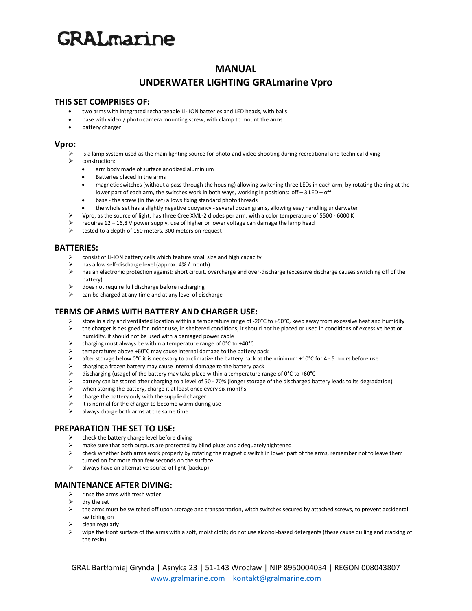# **GRAL**marine

# **MANUAL**

# **UNDERWATER LIGHTING GRALmarine Vpro**

#### **THIS SET COMPRISES OF:**

- two arms with integrated rechargeable Li- ION batteries and LED heads, with balls
- base with video / photo camera mounting screw, with clamp to mount the arms
- battery charger

#### **Vpro:**

- is a lamp system used as the main lighting source for photo and video shooting during recreational and technical diving
- construction:
	- arm body made of surface anodized aluminium
	- Batteries placed in the arms
	- magnetic switches (without a pass through the housing) allowing switching three LEDs in each arm, by rotating the ring at the lower part of each arm, the switches work in both ways, working in positions: off – 3 LED – off
	- base the screw (in the set) allows fixing standard photo threads
	- the whole set has a slightly negative buoyancy several dozen grams, allowing easy handling underwater
- ➢ Vpro, as the source of light, has three Cree XML-2 diodes per arm, with a color temperature of 5500 6000 K
- ➢ requires 12 16,8 V power supply, use of higher or lower voltage can damage the lamp head
- tested to a depth of 150 meters, 300 meters on request

#### **BATTERIES:**

- $\triangleright$  consist of Li-ION battery cells which feature small size and high capacity
- has a low self-discharge level (approx. 4% / month)
- ➢ has an electronic protection against: short circuit, overcharge and over-discharge (excessive discharge causes switching off of the battery)
- ➢ does not require full discharge before recharging
- $\triangleright$  can be charged at any time and at any level of discharge

### **TERMS OF ARMS WITH BATTERY AND CHARGER USE:**

- $\triangleright$  store in a dry and ventilated location within a temperature range of -20°C to +50°C, keep away from excessive heat and humidity<br>
the charger is designed for indoor use in sheltered conditions, it should not be plac
- ➢ the charger is designed for indoor use, in sheltered conditions, it should not be placed or used in conditions of excessive heat or humidity, it should not be used with a damaged power cable
- $\triangleright$  charging must always be within a temperature range of 0°C to +40°C<br>  $\triangleright$  temperatures above +60°C may cause internal damage to the battery
- Emperatures above +60°C may cause internal damage to the battery pack<br>A after storage below 0°C it is necessary to acclimatize the battery pack at the
- after storage below  $0^{\circ}$ C it is necessary to acclimatize the battery pack at the minimum +10 $^{\circ}$ C for 4 5 hours before use
- $\triangleright$  charging a frozen battery may cause internal damage to the battery pack
- $\triangleright$  discharging (usage) of the battery may take place within a temperature range of 0°C to +60°C
- ➢ battery can be stored after charging to a level of 50 70% (longer storage of the discharged battery leads to its degradation)
- $\triangleright$  when storing the battery, charge it at least once every six months
- $\triangleright$  charge the battery only with the supplied charger
- it is normal for the charger to become warm during use
- $\triangleright$  always charge both arms at the same time

### **PREPARATION THE SET TO USE:**

- ➢ check the battery charge level before diving
- ➢ make sure that both outputs are protected by blind plugs and adequately tightened
- $\triangleright$  check whether both arms work properly by rotating the magnetic switch in lower part of the arms, remember not to leave them turned on for more than few seconds on the surface
- ➢ always have an alternative source of light (backup)

#### **MAINTENANCE AFTER DIVING:**

- $\triangleright$  rinse the arms with fresh water
- ➢ dry the set
- $\triangleright$  the arms must be switched off upon storage and transportation, witch switches secured by attached screws, to prevent accidental switching on
- ➢ clean regularly
- wipe the front surface of the arms with a soft, moist cloth; do not use alcohol-based detergents (these cause dulling and cracking of the resin)

GRAL Bartłomiej Grynda | Asnyka 23 | 51-143 Wrocław | NIP 8950004034 | REGON 008043807 [www.gralmarine.com](http://www.gralmarine.com/) | [kontakt@gralmarine.com](mailto:kontakt@gralmarine.com)